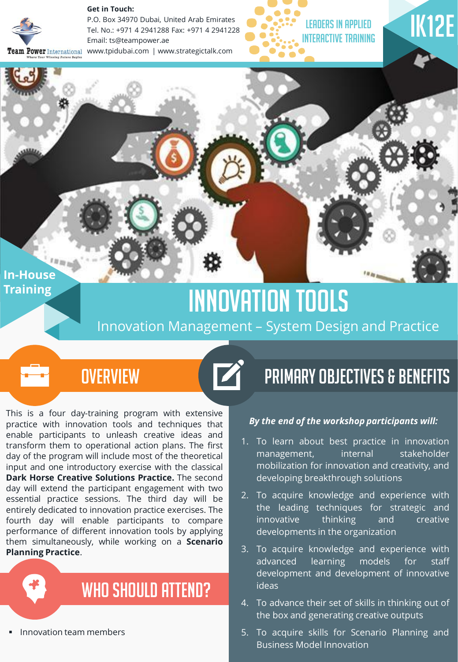

**Get in Touch:** 

P.O. Box 34970 Dubai, United Arab Emirates Tel. No.: +971 4 2941288 Fax: +971 4 2941228 Email: ts@teampower.ae m Power International www.tpidubai.com | www.strategictalk.com





### **In-House Training**

# Innovation Tools

### Innovation Management – System Design and Practice



This is a four day-training program with extensive practice with innovation tools and techniques that enable participants to unleash creative ideas and transform them to operational action plans. The first day of the program will include most of the theoretical input and one introductory exercise with the classical **Dark Horse Creative Solutions Practice.** The second day will extend the participant engagement with two essential practice sessions. The third day will be entirely dedicated to innovation practice exercises. The fourth day will enable participants to compare performance of different innovation tools by applying them simultaneously, while working on a **Scenario Planning Practice**.



Innovation team members

## Primary Objectives & Benefits

### *By the end of the workshop participants will:*

- 1. To learn about best practice in innovation management, internal stakeholder mobilization for innovation and creativity, and developing breakthrough solutions
- 2. To acquire knowledge and experience with the leading techniques for strategic and innovative thinking and creative developments in the organization
- 3. To acquire knowledge and experience with advanced learning models for staff development and development of innovative ideas
- 4. To advance their set of skills in thinking out of the box and generating creative outputs
- 5. To acquire skills for Scenario Planning and Business Model Innovation